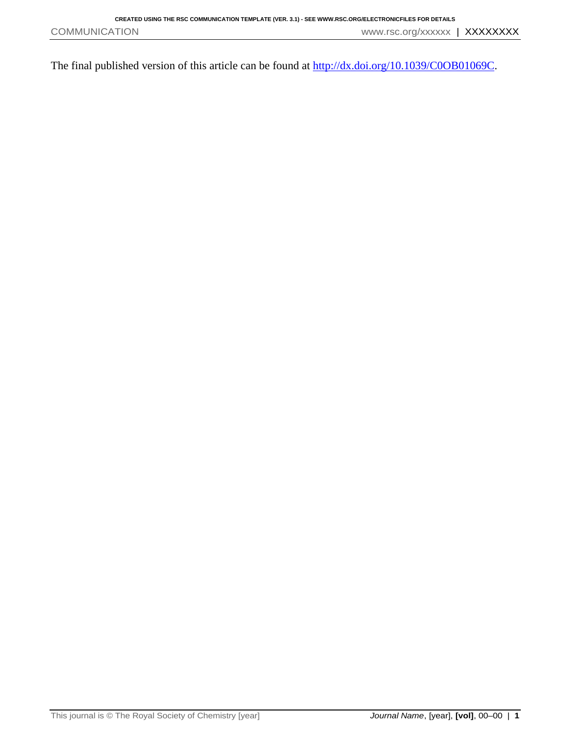The final published version of this article can be found at  $\frac{http://dx.doi.org/10.1039/COOB01069C}{http://dx.doi.org/10.1039/COOB01069C}.$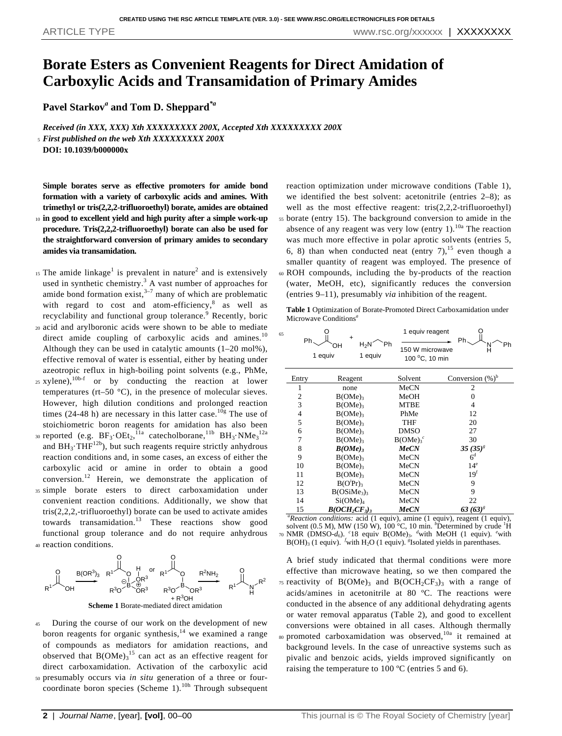## **Borate Esters as Convenient Reagents for Direct Amidation of Carboxylic Acids and Transamidation of Primary Amides**

**Pavel Starkov***<sup>a</sup>* **and Tom D. Sheppard***\*a*

*Received (in XXX, XXX) Xth XXXXXXXXX 200X, Accepted Xth XXXXXXXXX 200X* <sup>5</sup> *First published on the web Xth XXXXXXXXX 200X* **DOI: 10.1039/b000000x**

**Simple borates serve as effective promoters for amide bond formation with a variety of carboxylic acids and amines. With trimethyl or tris(2,2,2-trifluoroethyl) borate, amides are obtained** <sup>10</sup> **in good to excellent yield and high purity after a simple work-up**

**procedure. Tris(2,2,2-trifluoroethyl) borate can also be used for the straightforward conversion of primary amides to secondary amides via transamidation.**

- <sup>15</sup> The amide linkage<sup>1</sup> is prevalent in nature<sup>2</sup> and is extensively used in synthetic chemistry. $3$  A vast number of approaches for amide bond formation exist, $3\frac{1}{7}$  many of which are problematic with regard to cost and atom-efficiency, $8$  as well as recyclability and functional group tolerance.<sup>9</sup> Recently, boric
- <sup>20</sup> acid and arylboronic acids were shown to be able to mediate direct amide coupling of carboxylic acids and amines.<sup>10</sup> Although they can be used in catalytic amounts (1–20 mol%), effective removal of water is essential, either by heating under azeotropic reflux in high-boiling point solvents (e.g., PhMe,
- 25 xylene),  $10b-f$  or by conducting the reaction at lower temperatures (rt–50 °C), in the presence of molecular sieves. However, high dilution conditions and prolonged reaction times (24-48 h) are necessary in this latter case.<sup>10g</sup> The use of stoichiometric boron reagents for amidation has also been
- 30 reported (e.g.  $BF_3 \cdot OEt_2$ ,<sup>11a</sup> catecholborane,<sup>11b</sup>  $BH_3 \cdot NMe_3$ <sup>12a</sup> and  $BH_3 \cdot THF^{12b}$ , but such reagents require strictly anhydrous reaction conditions and, in some cases, an excess of either the carboxylic acid or amine in order to obtain a good conversion.<sup>12</sup> Herein, we demonstrate the application of
- <sup>35</sup> simple borate esters to direct carboxamidation under convenient reaction conditions. Additionally, we show that tris(2,2,2,-trifluoroethyl) borate can be used to activate amides towards transamidation.<sup>13</sup> These reactions show good functional group tolerance and do not require anhydrous <sup>40</sup> reaction conditions.



**Scheme 1** Borate-mediated direct amidation

- <sup>45</sup> During the course of our work on the development of new boron reagents for organic synthesis, $14$  we examined a range of compounds as mediators for amidation reactions, and observed that  $B(OMe)<sub>3</sub><sup>15</sup>$  can act as an effective reagent for direct carboxamidation. Activation of the carboxylic acid <sup>50</sup> presumably occurs via *in situ* generation of a three or four-
- coordinate boron species (Scheme 1).<sup>10h</sup> Through subsequent

reaction optimization under microwave conditions (Table 1), we identified the best solvent: acetonitrile (entries 2–8); as well as the most effective reagent: tris(2,2,2-trifluoroethyl) <sup>55</sup> borate (entry 15). The background conversion to amide in the absence of any reagent was very low (entry  $1$ ).<sup>10a</sup> The reaction was much more effective in polar aprotic solvents (entries 5, 6, 8) than when conducted neat (entry  $7$ ),<sup>15</sup> even though a smaller quantity of reagent was employed. The presence of <sup>60</sup> ROH compounds, including the by-products of the reaction (water, MeOH, etc), significantly reduces the conversion (entries 9–11), presumably *via* inhibition of the reagent.

**Table 1** Optimization of Borate-Promoted Direct Carboxamidation under Microwave Conditions*<sup>a</sup>*

| 65 | Ph.                                                                            | $H_2N$<br>OН<br>1 equiv<br>1 equiv  | 1 equiv reagent<br>Ph<br>150 W microwave<br>100 °C, 10 min | Ph<br>Ph            |  |  |  |
|----|--------------------------------------------------------------------------------|-------------------------------------|------------------------------------------------------------|---------------------|--|--|--|
|    | Entry                                                                          | Reagent                             | Solvent                                                    | Conversion $(\%)^b$ |  |  |  |
|    | 1                                                                              | none                                | MeCN                                                       | $\overline{c}$      |  |  |  |
|    | $\mathbf{2}$                                                                   | B(OME)                              | MeOH                                                       | 0                   |  |  |  |
|    | 3                                                                              | $B(OME)_3$                          | <b>MTBE</b>                                                | 4                   |  |  |  |
|    | $\overline{4}$                                                                 | B(OME)                              | PhMe                                                       | 12                  |  |  |  |
|    | 5                                                                              | B(OME)                              | THF                                                        | 20                  |  |  |  |
|    | 6                                                                              | B(OME)                              | <b>DMSO</b>                                                | 27                  |  |  |  |
|    | 7                                                                              | B(OME)                              | B(OME) <sub>3</sub> <sup>c</sup>                           | 30                  |  |  |  |
|    | 8<br>B(OME)                                                                    |                                     | <b>MeCN</b>                                                | $35(35)^8$          |  |  |  |
|    | 9                                                                              | $B(OME)_3$                          | MeCN                                                       | 6 <sup>d</sup>      |  |  |  |
|    | 10                                                                             | B(OME) <sub>3</sub>                 | MeCN                                                       | 14 <sup>e</sup>     |  |  |  |
|    | 11                                                                             | B(OME)                              | MeCN                                                       | 19 <sup>f</sup>     |  |  |  |
|    | 12                                                                             | B(O'Pr)                             | MeCN                                                       | 9                   |  |  |  |
|    | 13                                                                             | B(OSiMe <sub>3</sub> ) <sub>3</sub> | MeCN                                                       | 9                   |  |  |  |
|    | 14                                                                             | $Si(OME)_4$                         | MeCN                                                       | 22                  |  |  |  |
|    | 15                                                                             | $B(OCH_2CF_3)_3$                    | <b>MeCN</b>                                                | 63 $(63)^{8}$       |  |  |  |
|    | $1 - 1$<br>$\sim$<br>a and they<br>$$ $(1)$<br>$ - - - - - 4$<br>$\sim$ $\sim$ |                                     |                                                            |                     |  |  |  |

*<sup>a</sup>Reaction conditions:* acid (1 equiv), amine (1 equiv), reagent (1 equiv), solvent (0.5 M), MW (150 W),  $100^{\circ}$ C, 10 min.  $^{b}$ Determined by crude <sup>1</sup>H <sup>70</sup> NMR (DMSO-*d*<sub>6</sub>). <sup>*c*</sup><sub>18</sub> equiv B(OMe)<sub>3</sub>. <sup>*d*</sup>with MeOH (1 equiv). *<sup><i>c*</sup>with B(OH)<sub>3</sub></sub> (1 equiv). *<sup>f</sup>*with H<sub>2</sub>O (1 equiv). *<sup><i>s*</sup> Solated yields in parenthases.

A brief study indicated that thermal conditions were more effective than microwave heating, so we then compared the 75 reactivity of  $B(OMe)_3$  and  $B(OCH_2CF_3)_3$  with a range of acids/amines in acetonitrile at 80 ºC. The reactions were conducted in the absence of any additional dehydrating agents or water removal apparatus (Table 2), and good to excellent conversions were obtained in all cases. Although thermally <sup>80</sup> promoted carboxamidation was observed,<sup>10a</sup> it remained at background levels. In the case of unreactive systems such as pivalic and benzoic acids, yields improved significantly on raising the temperature to 100 ºC (entries 5 and 6).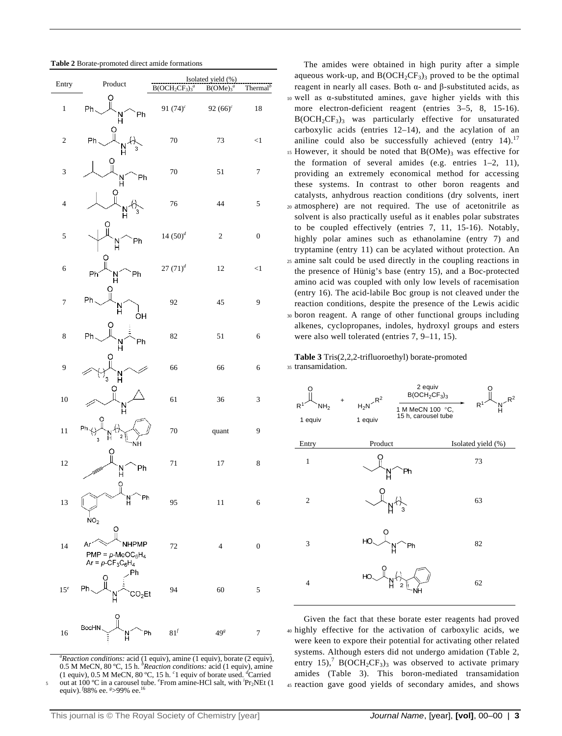| Entry           | Product                                                         | Isolated yield (%)<br>$B(OCH2CF3)3a$<br>B(OMe) <sub>3</sub> <sup>a</sup><br>Thermal <sup>b</sup> |                         |                  |
|-----------------|-----------------------------------------------------------------|--------------------------------------------------------------------------------------------------|-------------------------|------------------|
|                 | O                                                               |                                                                                                  |                         |                  |
| $\,1$           | Ph.<br>Ph<br>N<br>H                                             | 91 $(74)^c$                                                                                      | 92 $(66)^c$             | $18\,$           |
| $\overline{c}$  | ဝူ<br>Ph<br>N<br>з                                              | 70                                                                                               | 73                      | $\leq$ 1         |
| 3               | Ph<br>N<br>H                                                    | 70                                                                                               | 51                      | $\overline{7}$   |
| $\overline{4}$  | N<br>H<br>3                                                     | 76                                                                                               | 44                      | 5                |
| 5               | Ph<br>N<br>H                                                    | $14 (50)^{d}$                                                                                    | $\overline{\mathbf{c}}$ | $\boldsymbol{0}$ |
| 6               | O<br>Ph<br>Phi<br>N                                             | $27 (71)^{d}$                                                                                    | 12                      | <1               |
| 7               | Ph.<br>N<br>ÒН                                                  | 92                                                                                               | 45                      | 9                |
| 8               | Ph<br>Ph<br>$\frac{N}{H}$                                       | 82                                                                                               | 51                      | 6                |
| 9               | C<br>$\frac{N}{H}$<br>3                                         | 66                                                                                               | 66                      | 6                |
| 10              | О<br>Ν                                                          | 61                                                                                               | 36                      | 3                |
| 11              | Ph<br>2<br>Н<br>3<br>ŃH                                         | $70\,$                                                                                           | quant                   | 9                |
| 12              | Ph<br>N<br>H                                                    | 71                                                                                               | $17\,$                  | 8                |
| 13              | $\mathcal{Q}^{\mathbf{O}}$<br>Ph<br>Ν<br>NO <sub>2</sub>        | 95                                                                                               | 11                      | 6                |
| 14              | O<br><b>JHPMP</b><br>$PMP = p-MeOC6H4$<br>$Ar = p - CF_3C_6H_4$ | 72                                                                                               | $\overline{4}$          | $\boldsymbol{0}$ |
| 15 <sup>e</sup> | Ph<br>Ph.<br>SO <sub>2</sub> Et                                 | 94                                                                                               | 60                      | 5                |
| 16              | O<br>BocHN<br>Ph<br>N                                           | $81^f$                                                                                           | 49 <sup>g</sup>         | $\tau$           |

*<sup>a</sup>Reaction conditions:* acid (1 equiv), amine (1 equiv), borate (2 equiv), 0.5 M MeCN, 80 ºC, 15 h. *<sup>b</sup>Reaction conditions:* acid (1 equiv), amine (1 equiv), 0.5 M MeCN, 80 ºC, 15 h. *<sup>c</sup>* 1 equiv of borate used. *<sup>d</sup>*Carried 5 out at 100 °C in a carousel tube. <sup>e</sup>From amine-HCl salt, with <sup>*i*</sup>Pr<sub>2</sub>NEt (1 equiv). <sup>*f*</sup>88% ee. <sup>*s*</sup>>99% ee. <sup>16</sup>

The amides were obtained in high purity after a simple aqueous work-up, and  $B(OCH_2CF_3)$ <sub>3</sub> proved to be the optimal reagent in nearly all cases. Both α- and β-substituted acids, as <sup>10</sup> well as α-substituted amines, gave higher yields with this more electron-deficient reagent (entries 3–5, 8, 15-16).  $B(OCH<sub>2</sub>CF<sub>3</sub>)$ <sub>3</sub> was particularly effective for unsaturated carboxylic acids (entries 12–14), and the acylation of an aniline could also be successfully achieved (entry  $14$ ).<sup>17</sup>  $15$  However, it should be noted that  $B(OMe)$ <sub>3</sub> was effective for the formation of several amides (e.g. entries 1–2, 11), providing an extremely economical method for accessing these systems. In contrast to other boron reagents and catalysts, anhydrous reaction conditions (dry solvents, inert <sup>20</sup> atmosphere) are not required. The use of acetonitrile as solvent is also practically useful as it enables polar substrates to be coupled effectively (entries 7, 11, 15-16). Notably, highly polar amines such as ethanolamine (entry 7) and tryptamine (entry 11) can be acylated without protection. An <sup>25</sup> amine salt could be used directly in the coupling reactions in the presence of Hünig's base (entry 15), and a Boc-protected amino acid was coupled with only low levels of racemisation (entry 16). The acid-labile Boc group is not cleaved under the reaction conditions, despite the presence of the Lewis acidic <sup>30</sup> boron reagent. A range of other functional groups including alkenes, cyclopropanes, indoles, hydroxyl groups and esters were also well tolerated (entries 7, 9–11, 15).

**Table 3** Tris(2,2,2-trifluoroethyl) borate-promoted <sup>35</sup> transamidation.



Given the fact that these borate ester reagents had proved <sup>40</sup> highly effective for the activation of carboxylic acids, we were keen to expore their potential for activating other related systems. Although esters did not undergo amidation (Table 2, entry 15),<sup>7</sup> B(OCH<sub>2</sub>CF<sub>3</sub>)<sub>3</sub> was observed to activate primary amides (Table 3). This boron-mediated transamidation <sup>45</sup> reaction gave good yields of secondary amides, and shows